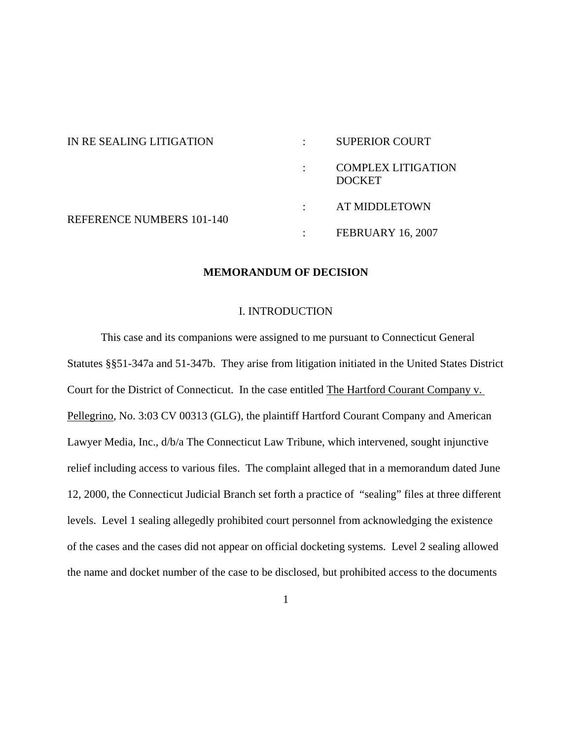| IN RE SEALING LITIGATION         |           | <b>SUPERIOR COURT</b>                      |
|----------------------------------|-----------|--------------------------------------------|
|                                  |           | <b>COMPLEX LITIGATION</b><br><b>DOCKET</b> |
| <b>REFERENCE NUMBERS 101-140</b> | $\cdot$   | AT MIDDLETOWN                              |
|                                  | $\bullet$ | <b>FEBRUARY 16, 2007</b>                   |

## **MEMORANDUM OF DECISION**

#### I. INTRODUCTION

This case and its companions were assigned to me pursuant to Connecticut General Statutes §§51-347a and 51-347b. They arise from litigation initiated in the United States District Court for the District of Connecticut. In the case entitled The Hartford Courant Company v. Pellegrino, No. 3:03 CV 00313 (GLG), the plaintiff Hartford Courant Company and American Lawyer Media, Inc., d/b/a The Connecticut Law Tribune, which intervened, sought injunctive relief including access to various files. The complaint alleged that in a memorandum dated June 12, 2000, the Connecticut Judicial Branch set forth a practice of "sealing" files at three different levels. Level 1 sealing allegedly prohibited court personnel from acknowledging the existence of the cases and the cases did not appear on official docketing systems. Level 2 sealing allowed the name and docket number of the case to be disclosed, but prohibited access to the documents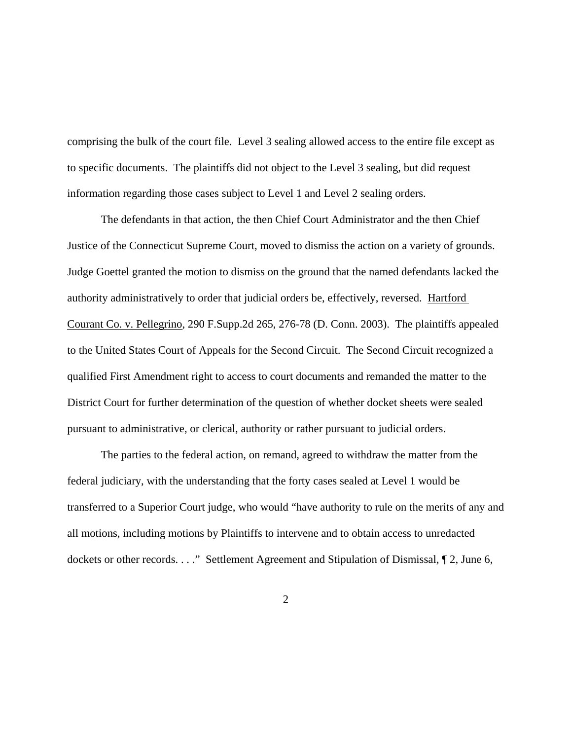comprising the bulk of the court file. Level 3 sealing allowed access to the entire file except as to specific documents. The plaintiffs did not object to the Level 3 sealing, but did request information regarding those cases subject to Level 1 and Level 2 sealing orders.

The defendants in that action, the then Chief Court Administrator and the then Chief Justice of the Connecticut Supreme Court, moved to dismiss the action on a variety of grounds. Judge Goettel granted the motion to dismiss on the ground that the named defendants lacked the authority administratively to order that judicial orders be, effectively, reversed. Hartford Courant Co. v. Pellegrino, 290 F.Supp.2d 265, 276-78 (D. Conn. 2003). The plaintiffs appealed to the United States Court of Appeals for the Second Circuit. The Second Circuit recognized a qualified First Amendment right to access to court documents and remanded the matter to the District Court for further determination of the question of whether docket sheets were sealed pursuant to administrative, or clerical, authority or rather pursuant to judicial orders.

The parties to the federal action, on remand, agreed to withdraw the matter from the federal judiciary, with the understanding that the forty cases sealed at Level 1 would be transferred to a Superior Court judge, who would "have authority to rule on the merits of any and all motions, including motions by Plaintiffs to intervene and to obtain access to unredacted dockets or other records. . . ." Settlement Agreement and Stipulation of Dismissal, ¶ 2, June 6,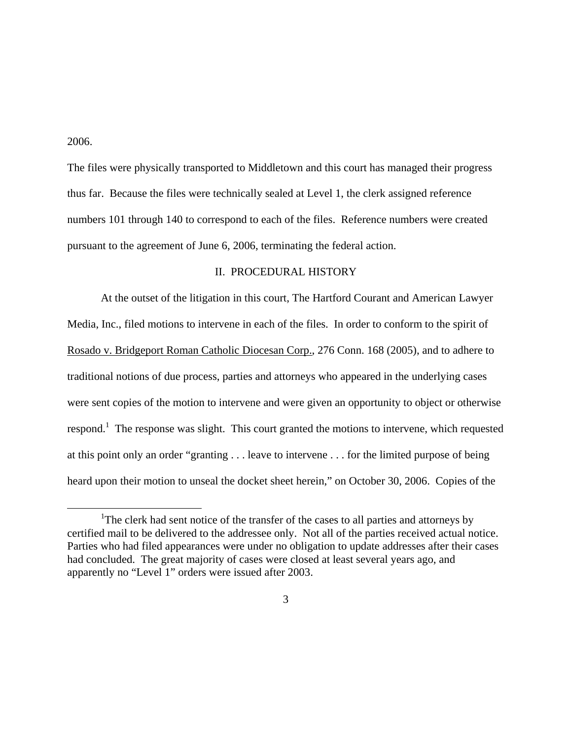2006.

The files were physically transported to Middletown and this court has managed their progress thus far. Because the files were technically sealed at Level 1, the clerk assigned reference numbers 101 through 140 to correspond to each of the files. Reference numbers were created pursuant to the agreement of June 6, 2006, terminating the federal action.

### II. PROCEDURAL HISTORY

At the outset of the litigation in this court, The Hartford Courant and American Lawyer Media, Inc., filed motions to intervene in each of the files. In order to conform to the spirit of Rosado v. Bridgeport Roman Catholic Diocesan Corp., 276 Conn. 168 (2005), and to adhere to traditional notions of due process, parties and attorneys who appeared in the underlying cases were sent copies of the motion to intervene and were given an opportunity to object or otherwise respond.<sup>1</sup> The response was slight. This court granted the motions to intervene, which requested at this point only an order "granting . . . leave to intervene . . . for the limited purpose of being heard upon their motion to unseal the docket sheet herein," on October 30, 2006. Copies of the

<sup>&</sup>lt;u>1</u> <sup>1</sup>The clerk had sent notice of the transfer of the cases to all parties and attorneys by certified mail to be delivered to the addressee only. Not all of the parties received actual notice. Parties who had filed appearances were under no obligation to update addresses after their cases had concluded. The great majority of cases were closed at least several years ago, and apparently no "Level 1" orders were issued after 2003.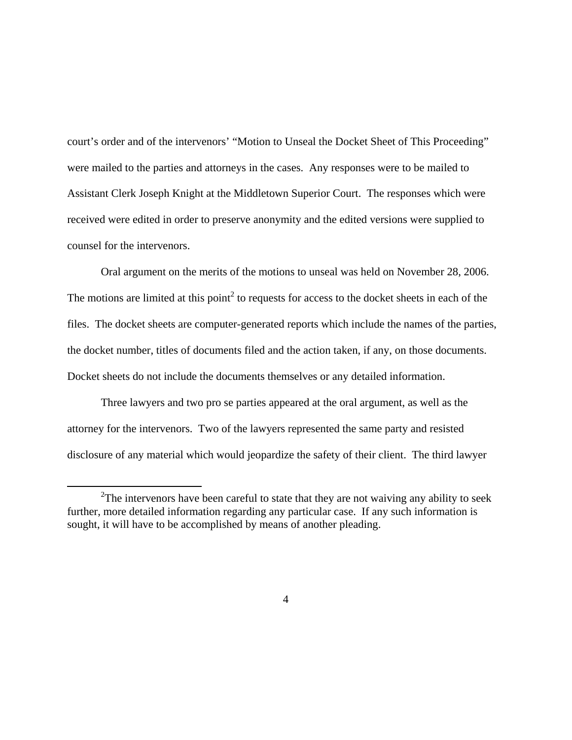court's order and of the intervenors' "Motion to Unseal the Docket Sheet of This Proceeding" were mailed to the parties and attorneys in the cases. Any responses were to be mailed to Assistant Clerk Joseph Knight at the Middletown Superior Court. The responses which were received were edited in order to preserve anonymity and the edited versions were supplied to counsel for the intervenors.

Oral argument on the merits of the motions to unseal was held on November 28, 2006. The motions are limited at this point<sup>2</sup> to requests for access to the docket sheets in each of the files. The docket sheets are computer-generated reports which include the names of the parties, the docket number, titles of documents filed and the action taken, if any, on those documents. Docket sheets do not include the documents themselves or any detailed information.

Three lawyers and two pro se parties appeared at the oral argument, as well as the attorney for the intervenors. Two of the lawyers represented the same party and resisted disclosure of any material which would jeopardize the safety of their client. The third lawyer

 <sup>2</sup>  $2$ The intervenors have been careful to state that they are not waiving any ability to seek further, more detailed information regarding any particular case. If any such information is sought, it will have to be accomplished by means of another pleading.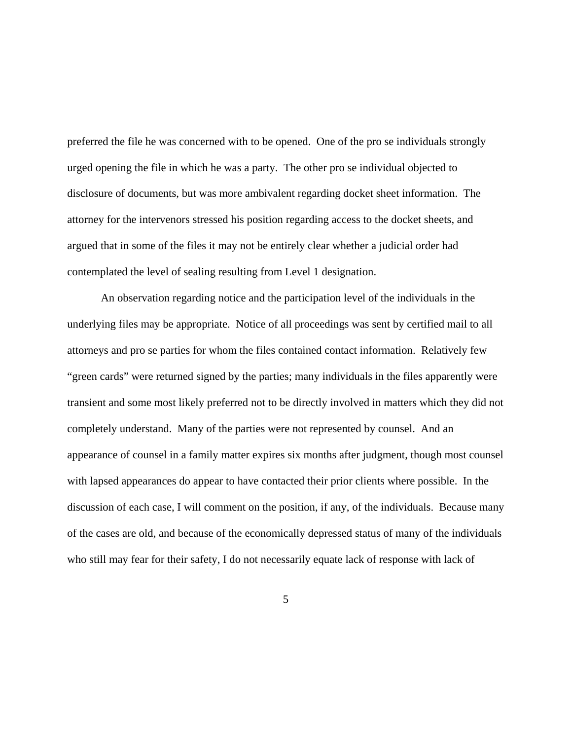preferred the file he was concerned with to be opened. One of the pro se individuals strongly urged opening the file in which he was a party. The other pro se individual objected to disclosure of documents, but was more ambivalent regarding docket sheet information. The attorney for the intervenors stressed his position regarding access to the docket sheets, and argued that in some of the files it may not be entirely clear whether a judicial order had contemplated the level of sealing resulting from Level 1 designation.

An observation regarding notice and the participation level of the individuals in the underlying files may be appropriate. Notice of all proceedings was sent by certified mail to all attorneys and pro se parties for whom the files contained contact information. Relatively few "green cards" were returned signed by the parties; many individuals in the files apparently were transient and some most likely preferred not to be directly involved in matters which they did not completely understand. Many of the parties were not represented by counsel. And an appearance of counsel in a family matter expires six months after judgment, though most counsel with lapsed appearances do appear to have contacted their prior clients where possible. In the discussion of each case, I will comment on the position, if any, of the individuals. Because many of the cases are old, and because of the economically depressed status of many of the individuals who still may fear for their safety, I do not necessarily equate lack of response with lack of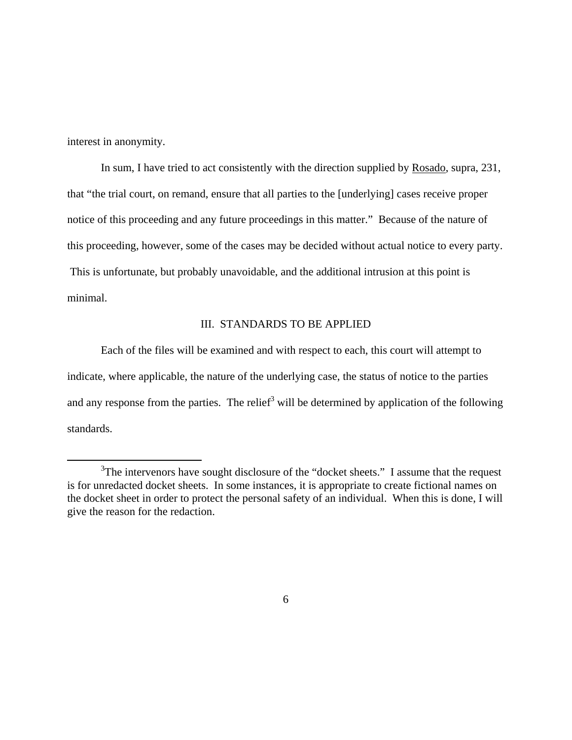interest in anonymity.

In sum, I have tried to act consistently with the direction supplied by Rosado, supra, 231, that "the trial court, on remand, ensure that all parties to the [underlying] cases receive proper notice of this proceeding and any future proceedings in this matter." Because of the nature of this proceeding, however, some of the cases may be decided without actual notice to every party. This is unfortunate, but probably unavoidable, and the additional intrusion at this point is minimal.

# III. STANDARDS TO BE APPLIED

Each of the files will be examined and with respect to each, this court will attempt to indicate, where applicable, the nature of the underlying case, the status of notice to the parties and any response from the parties. The relief<sup>3</sup> will be determined by application of the following standards.

 $\frac{1}{3}$  $3$ The intervenors have sought disclosure of the "docket sheets." I assume that the request is for unredacted docket sheets. In some instances, it is appropriate to create fictional names on the docket sheet in order to protect the personal safety of an individual. When this is done, I will give the reason for the redaction.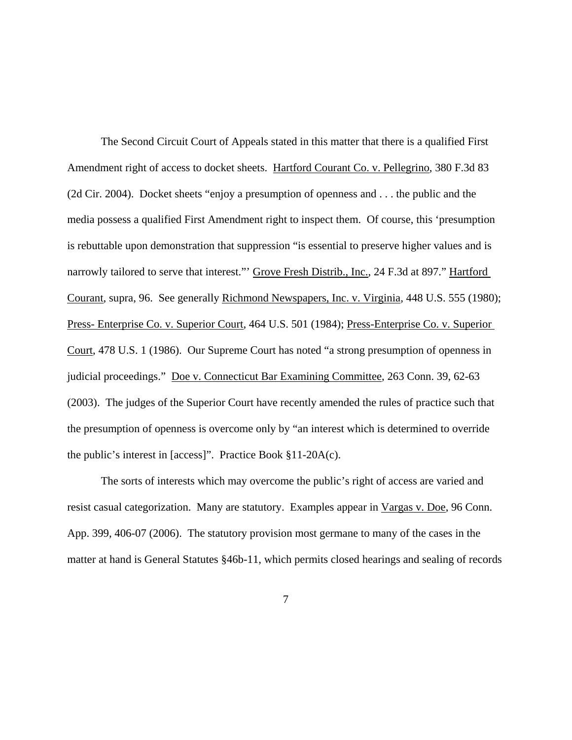The Second Circuit Court of Appeals stated in this matter that there is a qualified First Amendment right of access to docket sheets. Hartford Courant Co. v. Pellegrino, 380 F.3d 83 (2d Cir. 2004). Docket sheets "enjoy a presumption of openness and . . . the public and the media possess a qualified First Amendment right to inspect them. Of course, this 'presumption is rebuttable upon demonstration that suppression "is essential to preserve higher values and is narrowly tailored to serve that interest." Grove Fresh Distrib., Inc., 24 F.3d at 897." Hartford Courant, supra, 96. See generally Richmond Newspapers, Inc. v. Virginia, 448 U.S. 555 (1980); Press- Enterprise Co. v. Superior Court, 464 U.S. 501 (1984); Press-Enterprise Co. v. Superior Court, 478 U.S. 1 (1986). Our Supreme Court has noted "a strong presumption of openness in judicial proceedings." Doe v. Connecticut Bar Examining Committee, 263 Conn. 39, 62-63 (2003). The judges of the Superior Court have recently amended the rules of practice such that the presumption of openness is overcome only by "an interest which is determined to override the public's interest in [access]". Practice Book §11-20A(c).

The sorts of interests which may overcome the public's right of access are varied and resist casual categorization. Many are statutory. Examples appear in Vargas v. Doe, 96 Conn. App. 399, 406-07 (2006). The statutory provision most germane to many of the cases in the matter at hand is General Statutes §46b-11, which permits closed hearings and sealing of records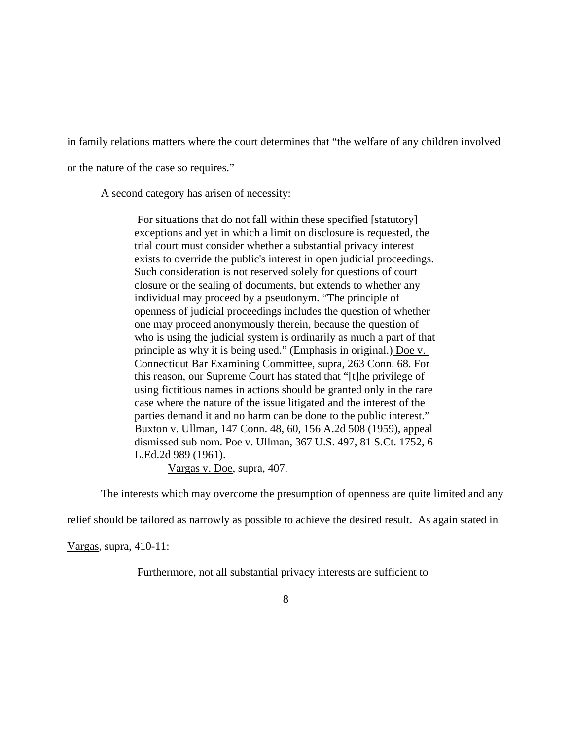in family relations matters where the court determines that "the welfare of any children involved

or the nature of the case so requires."

A second category has arisen of necessity:

 For situations that do not fall within these specified [statutory] exceptions and yet in which a limit on disclosure is requested, the trial court must consider whether a substantial privacy interest exists to override the public's interest in open judicial proceedings. Such consideration is not reserved solely for questions of court closure or the sealing of documents, but extends to whether any individual may proceed by a pseudonym. "The principle of openness of judicial proceedings includes the question of whether one may proceed anonymously therein, because the question of who is using the judicial system is ordinarily as much a part of that principle as why it is being used." (Emphasis in original.) Doe v. Connecticut Bar Examining Committee, supra, 263 Conn. 68. For this reason, our Supreme Court has stated that "[t]he privilege of using fictitious names in actions should be granted only in the rare case where the nature of the issue litigated and the interest of the parties demand it and no harm can be done to the public interest." Buxton v. Ullman, 147 Conn. 48, 60, 156 A.2d 508 (1959), appeal dismissed sub nom. Poe v. Ullman, 367 U.S. 497, 81 S.Ct. 1752, 6 L.Ed.2d 989 (1961).

Vargas v. Doe, supra, 407.

The interests which may overcome the presumption of openness are quite limited and any

relief should be tailored as narrowly as possible to achieve the desired result. As again stated in

Vargas, supra, 410-11:

Furthermore, not all substantial privacy interests are sufficient to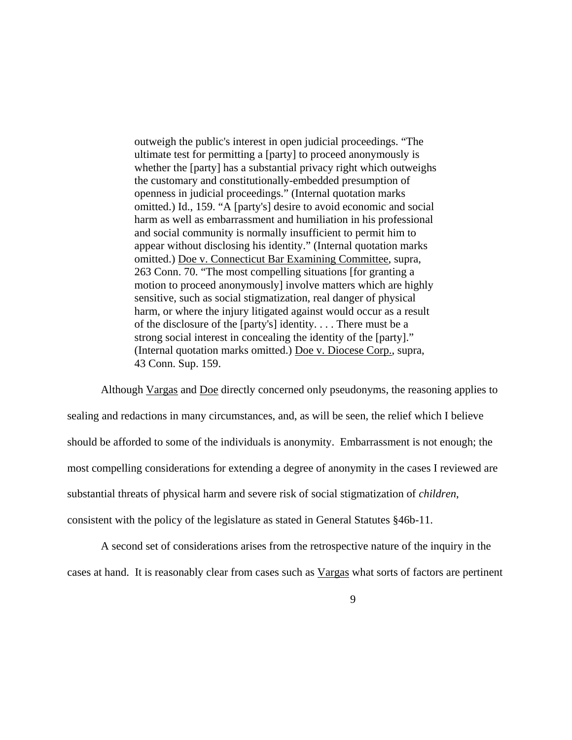outweigh the public's interest in open judicial proceedings. "The ultimate test for permitting a [party] to proceed anonymously is whether the [party] has a substantial privacy right which outweighs the customary and constitutionally-embedded presumption of openness in judicial proceedings." (Internal quotation marks omitted.) Id., 159. "A [party's] desire to avoid economic and social harm as well as embarrassment and humiliation in his professional and social community is normally insufficient to permit him to appear without disclosing his identity." (Internal quotation marks omitted.) Doe v. Connecticut Bar Examining Committee, supra, 263 Conn. 70. "The most compelling situations [for granting a motion to proceed anonymously] involve matters which are highly sensitive, such as social stigmatization, real danger of physical harm, or where the injury litigated against would occur as a result of the disclosure of the [party's] identity. . . . There must be a strong social interest in concealing the identity of the [party]." (Internal quotation marks omitted.) Doe v. Diocese Corp., supra, 43 Conn. Sup. 159.

Although Vargas and Doe directly concerned only pseudonyms, the reasoning applies to sealing and redactions in many circumstances, and, as will be seen, the relief which I believe should be afforded to some of the individuals is anonymity. Embarrassment is not enough; the most compelling considerations for extending a degree of anonymity in the cases I reviewed are substantial threats of physical harm and severe risk of social stigmatization of *children*, consistent with the policy of the legislature as stated in General Statutes §46b-11.

A second set of considerations arises from the retrospective nature of the inquiry in the cases at hand. It is reasonably clear from cases such as Vargas what sorts of factors are pertinent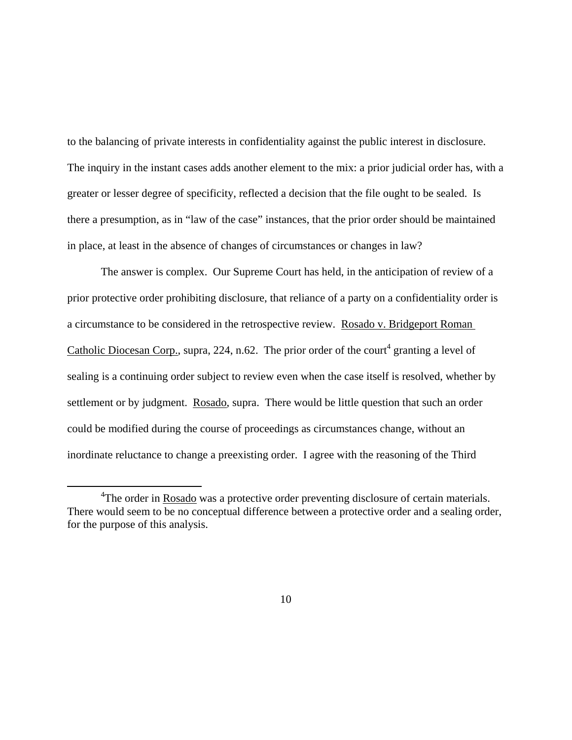to the balancing of private interests in confidentiality against the public interest in disclosure. The inquiry in the instant cases adds another element to the mix: a prior judicial order has, with a greater or lesser degree of specificity, reflected a decision that the file ought to be sealed. Is there a presumption, as in "law of the case" instances, that the prior order should be maintained in place, at least in the absence of changes of circumstances or changes in law?

The answer is complex. Our Supreme Court has held, in the anticipation of review of a prior protective order prohibiting disclosure, that reliance of a party on a confidentiality order is a circumstance to be considered in the retrospective review. Rosado v. Bridgeport Roman Catholic Diocesan Corp., supra, 224, n.62. The prior order of the court<sup>4</sup> granting a level of sealing is a continuing order subject to review even when the case itself is resolved, whether by settlement or by judgment. Rosado, supra. There would be little question that such an order could be modified during the course of proceedings as circumstances change, without an inordinate reluctance to change a preexisting order. I agree with the reasoning of the Third

 $\frac{1}{4}$ <sup>4</sup>The order in Rosado was a protective order preventing disclosure of certain materials. There would seem to be no conceptual difference between a protective order and a sealing order, for the purpose of this analysis.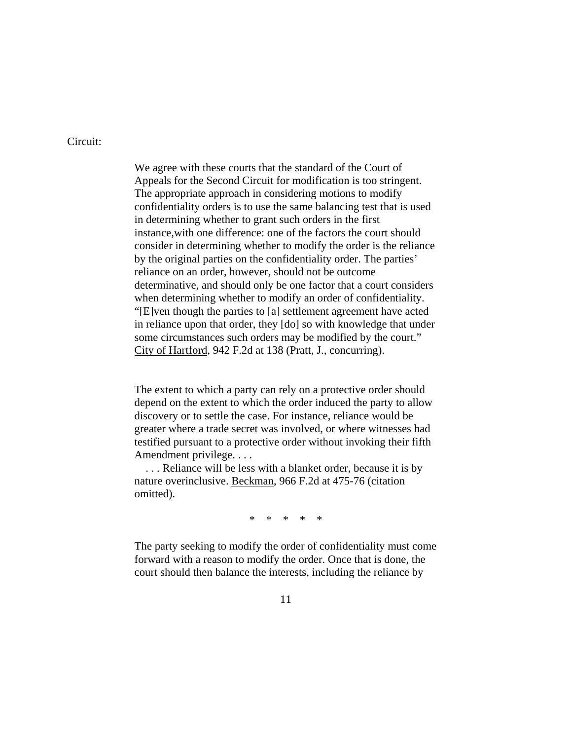Circuit:

We agree with these courts that the standard of the Court of Appeals for the Second Circuit for modification is too stringent. The appropriate approach in considering motions to modify confidentiality orders is to use the same balancing test that is used in determining whether to grant such orders in the first instance,with one difference: one of the factors the court should consider in determining whether to modify the order is the reliance by the original parties on the confidentiality order. The parties' reliance on an order, however, should not be outcome determinative, and should only be one factor that a court considers when determining whether to modify an order of confidentiality. "[E]ven though the parties to [a] settlement agreement have acted in reliance upon that order, they [do] so with knowledge that under some circumstances such orders may be modified by the court." City of Hartford, 942 F.2d at 138 (Pratt, J., concurring).

The extent to which a party can rely on a protective order should depend on the extent to which the order induced the party to allow discovery or to settle the case. For instance, reliance would be greater where a trade secret was involved, or where witnesses had testified pursuant to a protective order without invoking their fifth Amendment privilege. . . .

 . . . Reliance will be less with a blanket order, because it is by nature overinclusive. Beckman, 966 F.2d at 475-76 (citation omitted).

\* \* \* \* \*

The party seeking to modify the order of confidentiality must come forward with a reason to modify the order. Once that is done, the court should then balance the interests, including the reliance by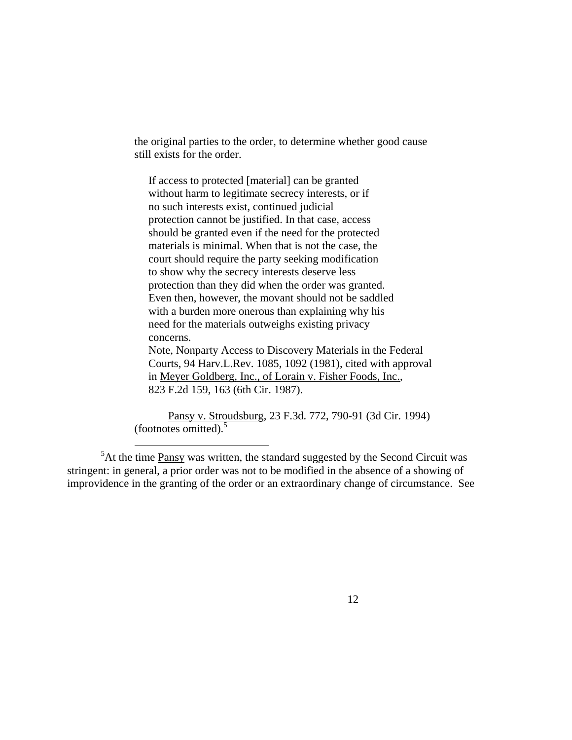the original parties to the order, to determine whether good cause still exists for the order.

 If access to protected [material] can be granted without harm to legitimate secrecy interests, or if no such interests exist, continued judicial protection cannot be justified. In that case, access should be granted even if the need for the protected materials is minimal. When that is not the case, the court should require the party seeking modification to show why the secrecy interests deserve less protection than they did when the order was granted. Even then, however, the movant should not be saddled with a burden more onerous than explaining why his need for the materials outweighs existing privacy concerns.

 Note, Nonparty Access to Discovery Materials in the Federal Courts, 94 Harv.L.Rev. 1085, 1092 (1981), cited with approval in Meyer Goldberg, Inc., of Lorain v. Fisher Foods, Inc., 823 F.2d 159, 163 (6th Cir. 1987).

Pansy v. Stroudsburg, 23 F.3d. 772, 790-91 (3d Cir. 1994) (footnotes omitted). $5$ 

 $5$ At the time  $Pansy$  was written, the standard suggested by the Second Circuit was</u> stringent: in general, a prior order was not to be modified in the absence of a showing of improvidence in the granting of the order or an extraordinary change of circumstance. See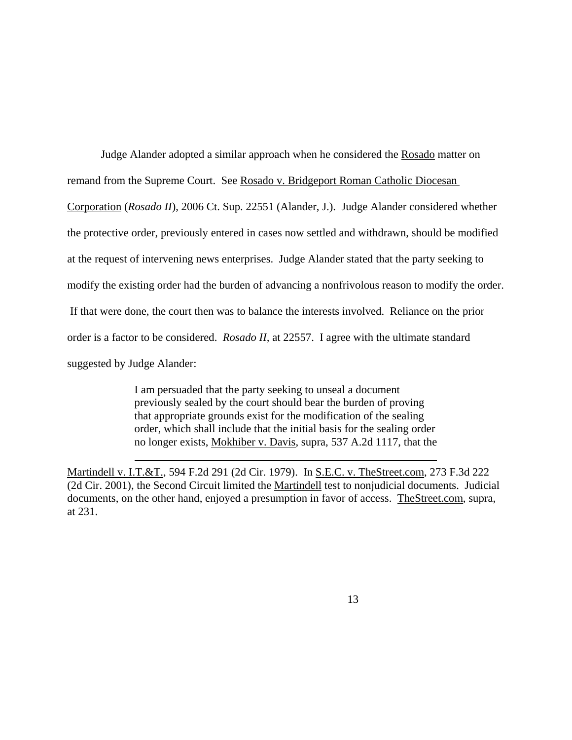Judge Alander adopted a similar approach when he considered the Rosado matter on remand from the Supreme Court. See Rosado v. Bridgeport Roman Catholic Diocesan Corporation (*Rosado II*), 2006 Ct. Sup. 22551 (Alander, J.). Judge Alander considered whether the protective order, previously entered in cases now settled and withdrawn, should be modified at the request of intervening news enterprises. Judge Alander stated that the party seeking to modify the existing order had the burden of advancing a nonfrivolous reason to modify the order. If that were done, the court then was to balance the interests involved. Reliance on the prior order is a factor to be considered. *Rosado II,* at 22557. I agree with the ultimate standard suggested by Judge Alander:

> I am persuaded that the party seeking to unseal a document previously sealed by the court should bear the burden of proving that appropriate grounds exist for the modification of the sealing order, which shall include that the initial basis for the sealing order no longer exists, Mokhiber v. Davis, supra, 537 A.2d 1117, that the

Martindell v. I.T.&T., 594 F.2d 291 (2d Cir. 1979). In S.E.C. v. TheStreet.com, 273 F.3d 222 (2d Cir. 2001), the Second Circuit limited the Martindell test to nonjudicial documents. Judicial documents, on the other hand, enjoyed a presumption in favor of access. TheStreet.com, supra, at 231.

 $\overline{a}$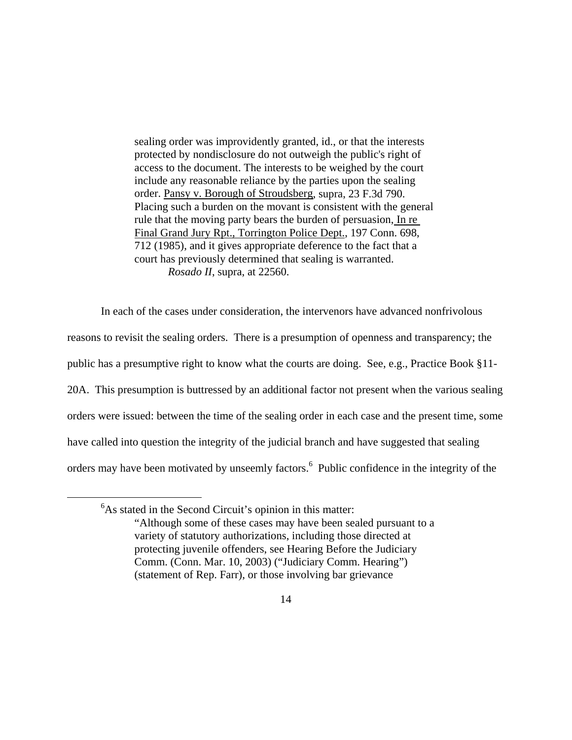sealing order was improvidently granted, id., or that the interests protected by nondisclosure do not outweigh the public's right of access to the document. The interests to be weighed by the court include any reasonable reliance by the parties upon the sealing order. Pansy v. Borough of Stroudsberg, supra, 23 F.3d 790. Placing such a burden on the movant is consistent with the general rule that the moving party bears the burden of persuasion, In re Final Grand Jury Rpt., Torrington Police Dept., 197 Conn. 698, 712 (1985), and it gives appropriate deference to the fact that a court has previously determined that sealing is warranted. *Rosado II*, supra, at 22560.

In each of the cases under consideration, the intervenors have advanced nonfrivolous reasons to revisit the sealing orders. There is a presumption of openness and transparency; the public has a presumptive right to know what the courts are doing. See, e.g., Practice Book §11- 20A. This presumption is buttressed by an additional factor not present when the various sealing orders were issued: between the time of the sealing order in each case and the present time, some have called into question the integrity of the judicial branch and have suggested that sealing orders may have been motivated by unseemly factors.<sup>6</sup> Public confidence in the integrity of the

6

 ${}^{6}$ As stated in the Second Circuit's opinion in this matter: "Although some of these cases may have been sealed pursuant to a variety of statutory authorizations, including those directed at protecting juvenile offenders, see Hearing Before the Judiciary Comm. (Conn. Mar. 10, 2003) ("Judiciary Comm. Hearing") (statement of Rep. Farr), or those involving bar grievance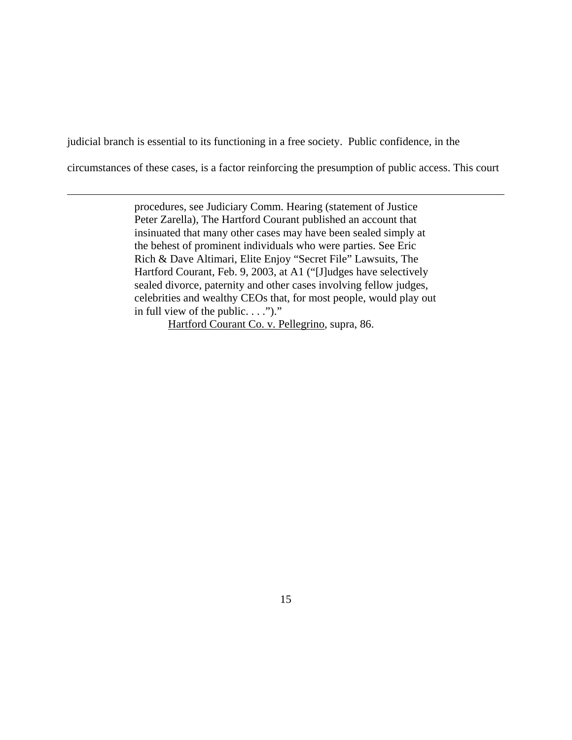judicial branch is essential to its functioning in a free society. Public confidence, in the

 $\overline{a}$ 

circumstances of these cases, is a factor reinforcing the presumption of public access. This court

procedures, see Judiciary Comm. Hearing (statement of Justice Peter Zarella), The Hartford Courant published an account that insinuated that many other cases may have been sealed simply at the behest of prominent individuals who were parties. See Eric Rich & Dave Altimari, Elite Enjoy "Secret File" Lawsuits, The Hartford Courant, Feb. 9, 2003, at A1 ("[J]udges have selectively sealed divorce, paternity and other cases involving fellow judges, celebrities and wealthy CEOs that, for most people, would play out in full view of the public.  $\ldots$ ")."

Hartford Courant Co. v. Pellegrino, supra, 86.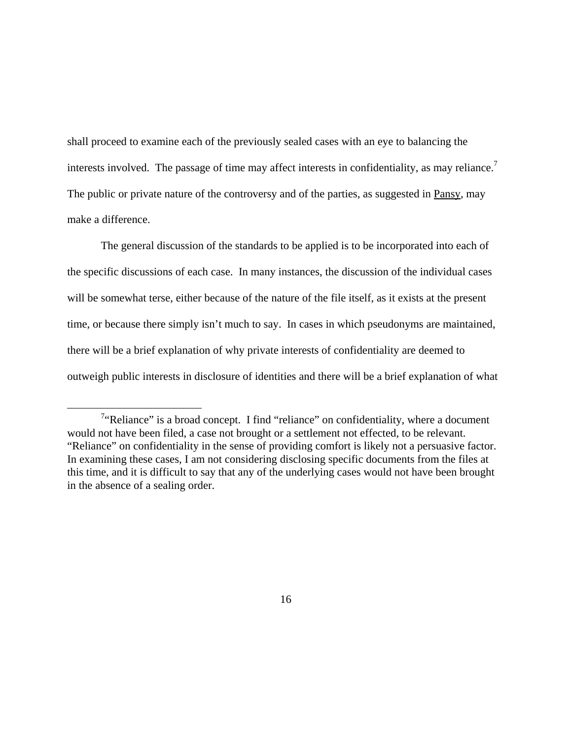shall proceed to examine each of the previously sealed cases with an eye to balancing the interests involved. The passage of time may affect interests in confidentiality, as may reliance.<sup>7</sup> The public or private nature of the controversy and of the parties, as suggested in Pansy, may make a difference.

The general discussion of the standards to be applied is to be incorporated into each of the specific discussions of each case. In many instances, the discussion of the individual cases will be somewhat terse, either because of the nature of the file itself, as it exists at the present time, or because there simply isn't much to say. In cases in which pseudonyms are maintained, there will be a brief explanation of why private interests of confidentiality are deemed to outweigh public interests in disclosure of identities and there will be a brief explanation of what

 <sup>7</sup> <sup>7</sup>"Reliance" is a broad concept. I find "reliance" on confidentiality, where a document would not have been filed, a case not brought or a settlement not effected, to be relevant. "Reliance" on confidentiality in the sense of providing comfort is likely not a persuasive factor. In examining these cases, I am not considering disclosing specific documents from the files at this time, and it is difficult to say that any of the underlying cases would not have been brought in the absence of a sealing order.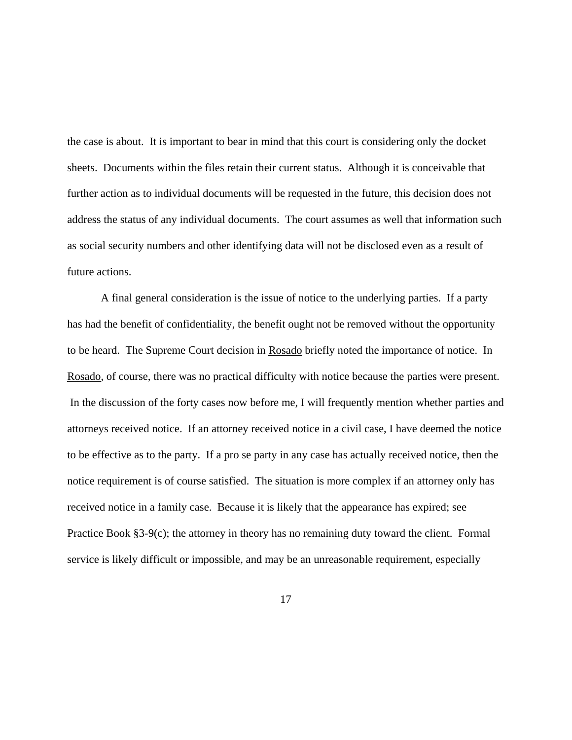the case is about. It is important to bear in mind that this court is considering only the docket sheets. Documents within the files retain their current status. Although it is conceivable that further action as to individual documents will be requested in the future, this decision does not address the status of any individual documents. The court assumes as well that information such as social security numbers and other identifying data will not be disclosed even as a result of future actions.

A final general consideration is the issue of notice to the underlying parties. If a party has had the benefit of confidentiality, the benefit ought not be removed without the opportunity to be heard. The Supreme Court decision in Rosado briefly noted the importance of notice. In Rosado, of course, there was no practical difficulty with notice because the parties were present. In the discussion of the forty cases now before me, I will frequently mention whether parties and attorneys received notice. If an attorney received notice in a civil case, I have deemed the notice to be effective as to the party. If a pro se party in any case has actually received notice, then the notice requirement is of course satisfied. The situation is more complex if an attorney only has received notice in a family case. Because it is likely that the appearance has expired; see Practice Book  $\S3-9(c)$ ; the attorney in theory has no remaining duty toward the client. Formal service is likely difficult or impossible, and may be an unreasonable requirement, especially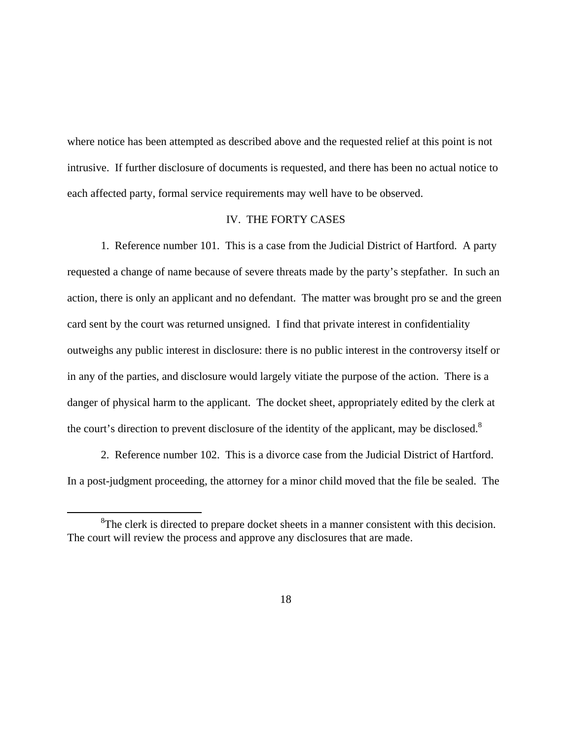where notice has been attempted as described above and the requested relief at this point is not intrusive. If further disclosure of documents is requested, and there has been no actual notice to each affected party, formal service requirements may well have to be observed.

### IV. THE FORTY CASES

1. Reference number 101. This is a case from the Judicial District of Hartford. A party requested a change of name because of severe threats made by the party's stepfather. In such an action, there is only an applicant and no defendant. The matter was brought pro se and the green card sent by the court was returned unsigned. I find that private interest in confidentiality outweighs any public interest in disclosure: there is no public interest in the controversy itself or in any of the parties, and disclosure would largely vitiate the purpose of the action. There is a danger of physical harm to the applicant. The docket sheet, appropriately edited by the clerk at the court's direction to prevent disclosure of the identity of the applicant, may be disclosed.<sup>8</sup>

2. Reference number 102. This is a divorce case from the Judicial District of Hartford. In a post-judgment proceeding, the attorney for a minor child moved that the file be sealed. The

 <sup>8</sup> <sup>8</sup>The clerk is directed to prepare docket sheets in a manner consistent with this decision. The court will review the process and approve any disclosures that are made.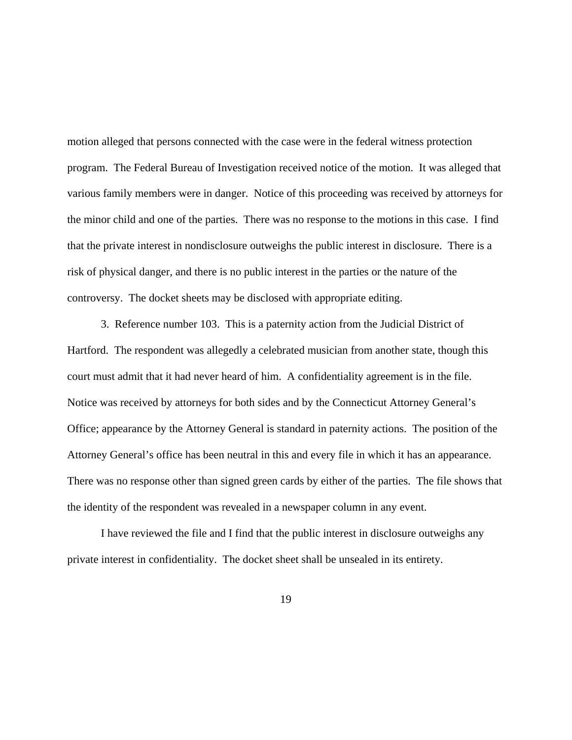motion alleged that persons connected with the case were in the federal witness protection program. The Federal Bureau of Investigation received notice of the motion. It was alleged that various family members were in danger. Notice of this proceeding was received by attorneys for the minor child and one of the parties. There was no response to the motions in this case. I find that the private interest in nondisclosure outweighs the public interest in disclosure. There is a risk of physical danger, and there is no public interest in the parties or the nature of the controversy. The docket sheets may be disclosed with appropriate editing.

3. Reference number 103. This is a paternity action from the Judicial District of Hartford. The respondent was allegedly a celebrated musician from another state, though this court must admit that it had never heard of him. A confidentiality agreement is in the file. Notice was received by attorneys for both sides and by the Connecticut Attorney General's Office; appearance by the Attorney General is standard in paternity actions. The position of the Attorney General's office has been neutral in this and every file in which it has an appearance. There was no response other than signed green cards by either of the parties. The file shows that the identity of the respondent was revealed in a newspaper column in any event.

I have reviewed the file and I find that the public interest in disclosure outweighs any private interest in confidentiality. The docket sheet shall be unsealed in its entirety.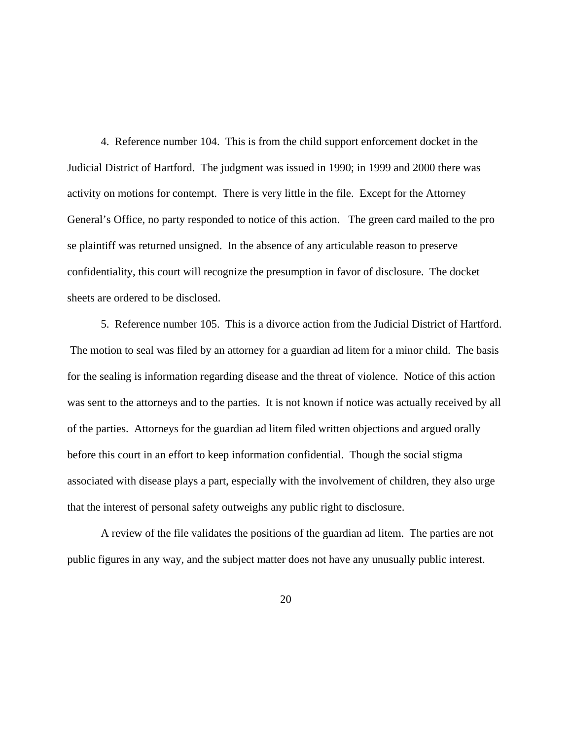4. Reference number 104. This is from the child support enforcement docket in the Judicial District of Hartford. The judgment was issued in 1990; in 1999 and 2000 there was activity on motions for contempt. There is very little in the file. Except for the Attorney General's Office, no party responded to notice of this action. The green card mailed to the pro se plaintiff was returned unsigned. In the absence of any articulable reason to preserve confidentiality, this court will recognize the presumption in favor of disclosure. The docket sheets are ordered to be disclosed.

5. Reference number 105. This is a divorce action from the Judicial District of Hartford. The motion to seal was filed by an attorney for a guardian ad litem for a minor child. The basis for the sealing is information regarding disease and the threat of violence. Notice of this action was sent to the attorneys and to the parties. It is not known if notice was actually received by all of the parties. Attorneys for the guardian ad litem filed written objections and argued orally before this court in an effort to keep information confidential. Though the social stigma associated with disease plays a part, especially with the involvement of children, they also urge that the interest of personal safety outweighs any public right to disclosure.

A review of the file validates the positions of the guardian ad litem. The parties are not public figures in any way, and the subject matter does not have any unusually public interest.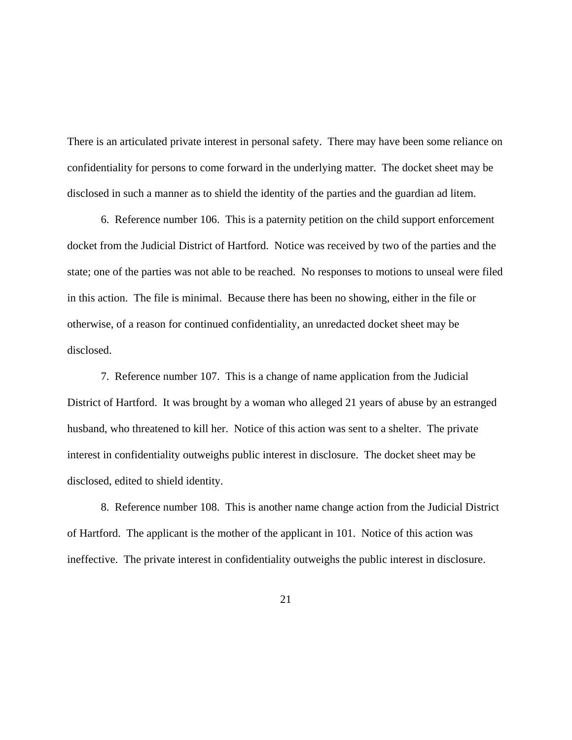There is an articulated private interest in personal safety. There may have been some reliance on confidentiality for persons to come forward in the underlying matter. The docket sheet may be disclosed in such a manner as to shield the identity of the parties and the guardian ad litem.

6. Reference number 106. This is a paternity petition on the child support enforcement docket from the Judicial District of Hartford. Notice was received by two of the parties and the state; one of the parties was not able to be reached. No responses to motions to unseal were filed in this action. The file is minimal. Because there has been no showing, either in the file or otherwise, of a reason for continued confidentiality, an unredacted docket sheet may be disclosed.

7. Reference number 107. This is a change of name application from the Judicial District of Hartford. It was brought by a woman who alleged 21 years of abuse by an estranged husband, who threatened to kill her. Notice of this action was sent to a shelter. The private interest in confidentiality outweighs public interest in disclosure. The docket sheet may be disclosed, edited to shield identity.

8. Reference number 108. This is another name change action from the Judicial District of Hartford. The applicant is the mother of the applicant in 101. Notice of this action was ineffective. The private interest in confidentiality outweighs the public interest in disclosure.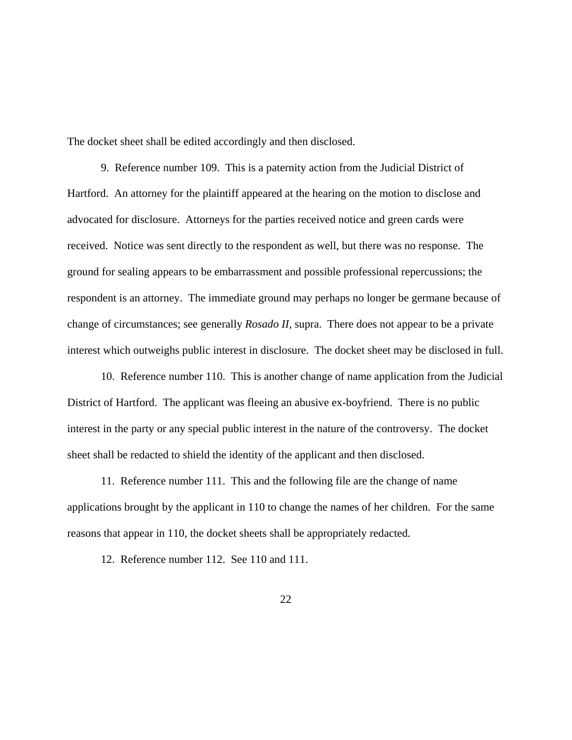The docket sheet shall be edited accordingly and then disclosed.

9. Reference number 109. This is a paternity action from the Judicial District of Hartford. An attorney for the plaintiff appeared at the hearing on the motion to disclose and advocated for disclosure. Attorneys for the parties received notice and green cards were received. Notice was sent directly to the respondent as well, but there was no response. The ground for sealing appears to be embarrassment and possible professional repercussions; the respondent is an attorney. The immediate ground may perhaps no longer be germane because of change of circumstances; see generally *Rosado II*, supra. There does not appear to be a private interest which outweighs public interest in disclosure. The docket sheet may be disclosed in full.

10. Reference number 110. This is another change of name application from the Judicial District of Hartford. The applicant was fleeing an abusive ex-boyfriend. There is no public interest in the party or any special public interest in the nature of the controversy. The docket sheet shall be redacted to shield the identity of the applicant and then disclosed.

11. Reference number 111. This and the following file are the change of name applications brought by the applicant in 110 to change the names of her children. For the same reasons that appear in 110, the docket sheets shall be appropriately redacted.

12. Reference number 112. See 110 and 111.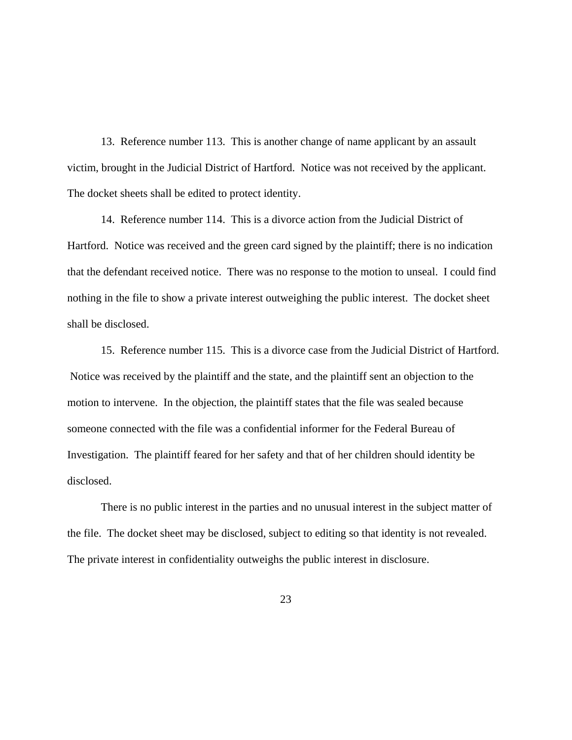13. Reference number 113. This is another change of name applicant by an assault victim, brought in the Judicial District of Hartford. Notice was not received by the applicant. The docket sheets shall be edited to protect identity.

14. Reference number 114. This is a divorce action from the Judicial District of Hartford. Notice was received and the green card signed by the plaintiff; there is no indication that the defendant received notice. There was no response to the motion to unseal. I could find nothing in the file to show a private interest outweighing the public interest. The docket sheet shall be disclosed.

15. Reference number 115. This is a divorce case from the Judicial District of Hartford. Notice was received by the plaintiff and the state, and the plaintiff sent an objection to the motion to intervene. In the objection, the plaintiff states that the file was sealed because someone connected with the file was a confidential informer for the Federal Bureau of Investigation. The plaintiff feared for her safety and that of her children should identity be disclosed.

There is no public interest in the parties and no unusual interest in the subject matter of the file. The docket sheet may be disclosed, subject to editing so that identity is not revealed. The private interest in confidentiality outweighs the public interest in disclosure.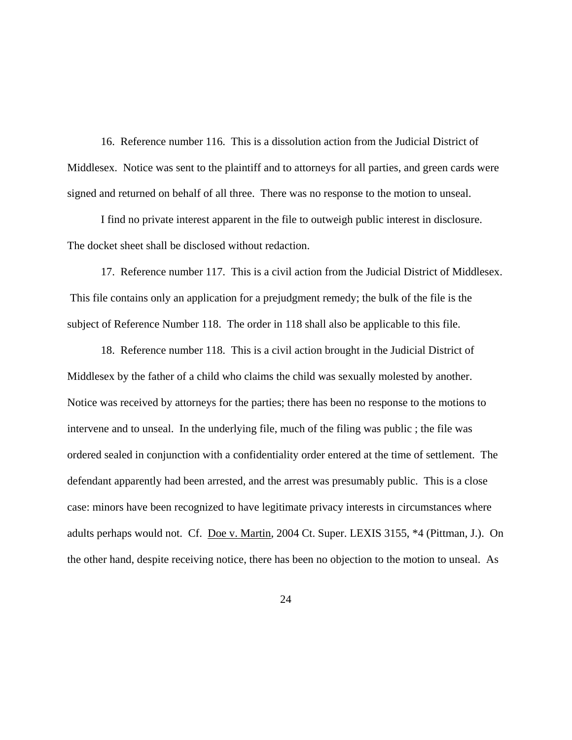16. Reference number 116. This is a dissolution action from the Judicial District of Middlesex. Notice was sent to the plaintiff and to attorneys for all parties, and green cards were signed and returned on behalf of all three. There was no response to the motion to unseal.

I find no private interest apparent in the file to outweigh public interest in disclosure. The docket sheet shall be disclosed without redaction.

17. Reference number 117. This is a civil action from the Judicial District of Middlesex. This file contains only an application for a prejudgment remedy; the bulk of the file is the subject of Reference Number 118. The order in 118 shall also be applicable to this file.

18. Reference number 118. This is a civil action brought in the Judicial District of Middlesex by the father of a child who claims the child was sexually molested by another. Notice was received by attorneys for the parties; there has been no response to the motions to intervene and to unseal. In the underlying file, much of the filing was public ; the file was ordered sealed in conjunction with a confidentiality order entered at the time of settlement. The defendant apparently had been arrested, and the arrest was presumably public. This is a close case: minors have been recognized to have legitimate privacy interests in circumstances where adults perhaps would not. Cf. Doe v. Martin, 2004 Ct. Super. LEXIS 3155, \*4 (Pittman, J.). On the other hand, despite receiving notice, there has been no objection to the motion to unseal. As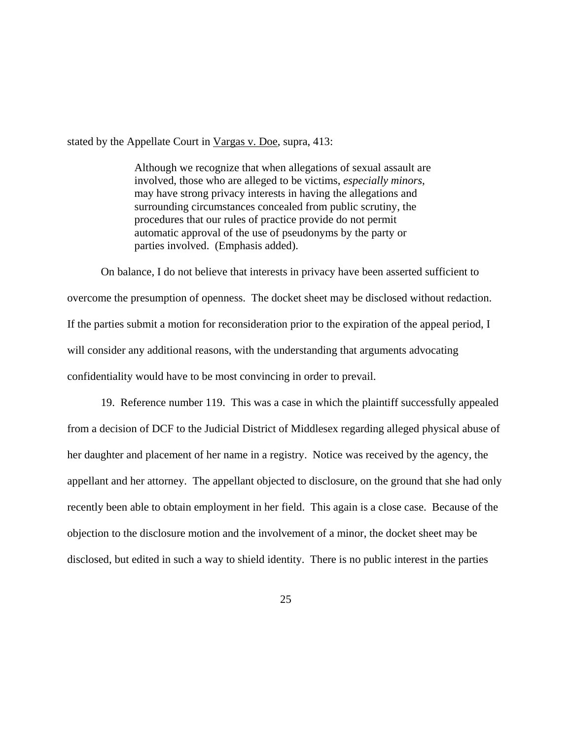stated by the Appellate Court in Vargas v. Doe, supra, 413:

Although we recognize that when allegations of sexual assault are involved, those who are alleged to be victims, *especially minors*, may have strong privacy interests in having the allegations and surrounding circumstances concealed from public scrutiny, the procedures that our rules of practice provide do not permit automatic approval of the use of pseudonyms by the party or parties involved. (Emphasis added).

On balance, I do not believe that interests in privacy have been asserted sufficient to overcome the presumption of openness. The docket sheet may be disclosed without redaction. If the parties submit a motion for reconsideration prior to the expiration of the appeal period, I will consider any additional reasons, with the understanding that arguments advocating confidentiality would have to be most convincing in order to prevail.

19. Reference number 119. This was a case in which the plaintiff successfully appealed from a decision of DCF to the Judicial District of Middlesex regarding alleged physical abuse of her daughter and placement of her name in a registry. Notice was received by the agency, the appellant and her attorney. The appellant objected to disclosure, on the ground that she had only recently been able to obtain employment in her field. This again is a close case. Because of the objection to the disclosure motion and the involvement of a minor, the docket sheet may be disclosed, but edited in such a way to shield identity. There is no public interest in the parties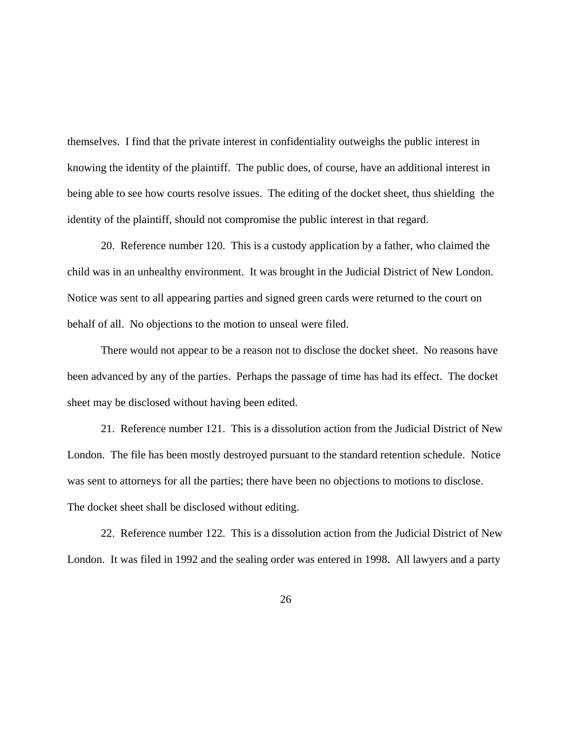themselves. I find that the private interest in confidentiality outweighs the public interest in knowing the identity of the plaintiff. The public does, of course, have an additional interest in being able to see how courts resolve issues. The editing of the docket sheet, thus shielding the identity of the plaintiff, should not compromise the public interest in that regard.

20. Reference number 120. This is a custody application by a father, who claimed the child was in an unhealthy environment. It was brought in the Judicial District of New London. Notice was sent to all appearing parties and signed green cards were returned to the court on behalf of all. No objections to the motion to unseal were filed.

There would not appear to be a reason not to disclose the docket sheet. No reasons have been advanced by any of the parties. Perhaps the passage of time has had its effect. The docket sheet may be disclosed without having been edited.

21. Reference number 121. This is a dissolution action from the Judicial District of New London. The file has been mostly destroyed pursuant to the standard retention schedule. Notice was sent to attorneys for all the parties; there have been no objections to motions to disclose. The docket sheet shall be disclosed without editing.

22. Reference number 122. This is a dissolution action from the Judicial District of New London. It was filed in 1992 and the sealing order was entered in 1998. All lawyers and a party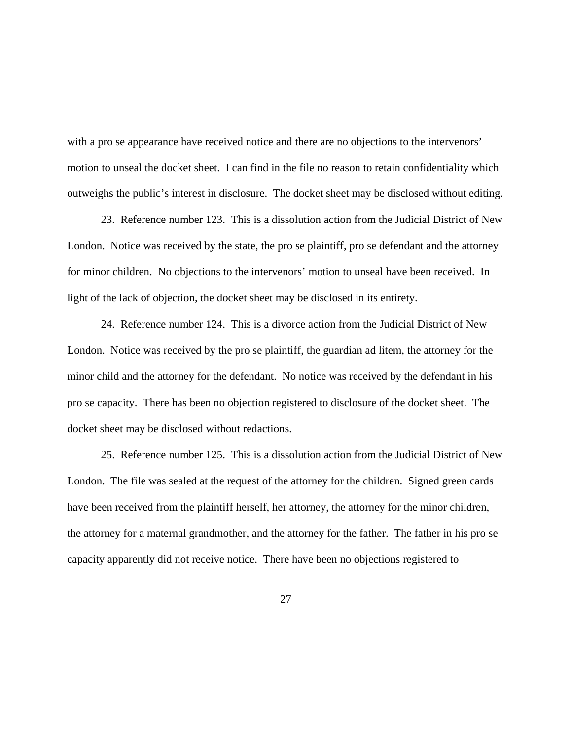with a pro se appearance have received notice and there are no objections to the intervenors' motion to unseal the docket sheet. I can find in the file no reason to retain confidentiality which outweighs the public's interest in disclosure. The docket sheet may be disclosed without editing.

23. Reference number 123. This is a dissolution action from the Judicial District of New London. Notice was received by the state, the pro se plaintiff, pro se defendant and the attorney for minor children. No objections to the intervenors' motion to unseal have been received. In light of the lack of objection, the docket sheet may be disclosed in its entirety.

24. Reference number 124. This is a divorce action from the Judicial District of New London. Notice was received by the pro se plaintiff, the guardian ad litem, the attorney for the minor child and the attorney for the defendant. No notice was received by the defendant in his pro se capacity. There has been no objection registered to disclosure of the docket sheet. The docket sheet may be disclosed without redactions.

25. Reference number 125. This is a dissolution action from the Judicial District of New London. The file was sealed at the request of the attorney for the children. Signed green cards have been received from the plaintiff herself, her attorney, the attorney for the minor children, the attorney for a maternal grandmother, and the attorney for the father. The father in his pro se capacity apparently did not receive notice. There have been no objections registered to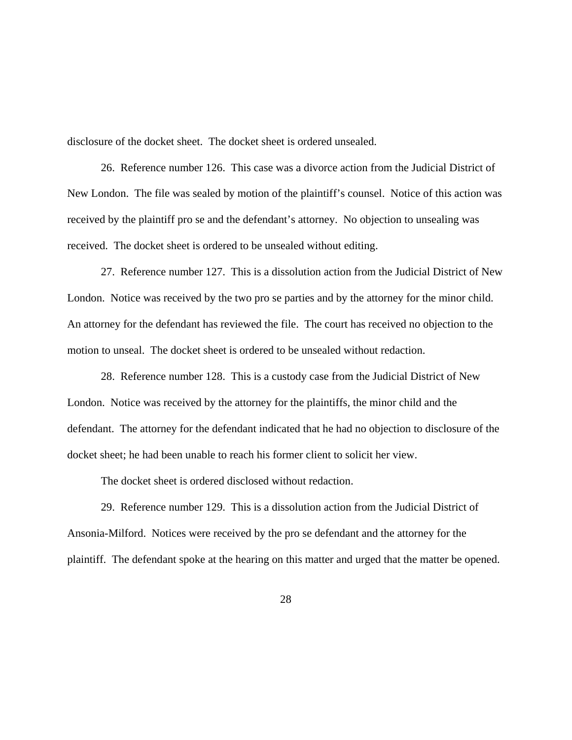disclosure of the docket sheet. The docket sheet is ordered unsealed.

26. Reference number 126. This case was a divorce action from the Judicial District of New London. The file was sealed by motion of the plaintiff's counsel. Notice of this action was received by the plaintiff pro se and the defendant's attorney. No objection to unsealing was received. The docket sheet is ordered to be unsealed without editing.

27. Reference number 127. This is a dissolution action from the Judicial District of New London. Notice was received by the two pro se parties and by the attorney for the minor child. An attorney for the defendant has reviewed the file. The court has received no objection to the motion to unseal. The docket sheet is ordered to be unsealed without redaction.

28. Reference number 128. This is a custody case from the Judicial District of New London. Notice was received by the attorney for the plaintiffs, the minor child and the defendant. The attorney for the defendant indicated that he had no objection to disclosure of the docket sheet; he had been unable to reach his former client to solicit her view.

The docket sheet is ordered disclosed without redaction.

29. Reference number 129. This is a dissolution action from the Judicial District of Ansonia-Milford. Notices were received by the pro se defendant and the attorney for the plaintiff. The defendant spoke at the hearing on this matter and urged that the matter be opened.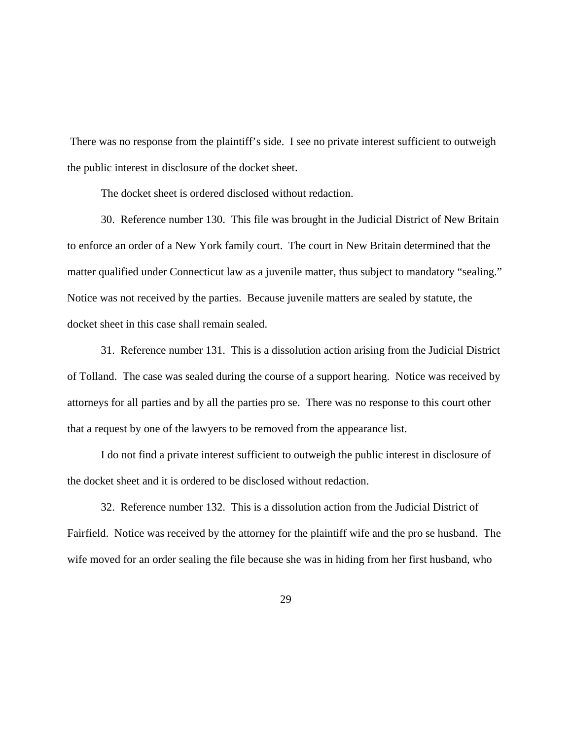There was no response from the plaintiff's side. I see no private interest sufficient to outweigh the public interest in disclosure of the docket sheet.

The docket sheet is ordered disclosed without redaction.

30. Reference number 130. This file was brought in the Judicial District of New Britain to enforce an order of a New York family court. The court in New Britain determined that the matter qualified under Connecticut law as a juvenile matter, thus subject to mandatory "sealing." Notice was not received by the parties. Because juvenile matters are sealed by statute, the docket sheet in this case shall remain sealed.

31. Reference number 131. This is a dissolution action arising from the Judicial District of Tolland. The case was sealed during the course of a support hearing. Notice was received by attorneys for all parties and by all the parties pro se. There was no response to this court other that a request by one of the lawyers to be removed from the appearance list.

I do not find a private interest sufficient to outweigh the public interest in disclosure of the docket sheet and it is ordered to be disclosed without redaction.

32. Reference number 132. This is a dissolution action from the Judicial District of Fairfield. Notice was received by the attorney for the plaintiff wife and the pro se husband. The wife moved for an order sealing the file because she was in hiding from her first husband, who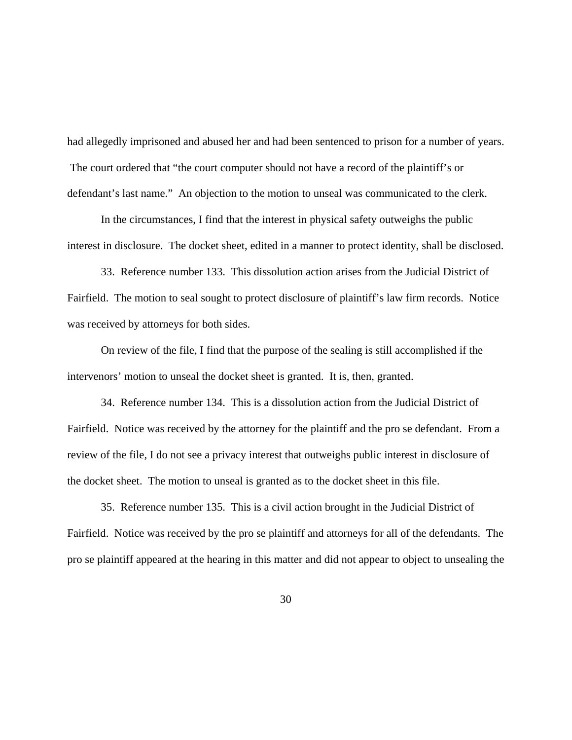had allegedly imprisoned and abused her and had been sentenced to prison for a number of years. The court ordered that "the court computer should not have a record of the plaintiff's or defendant's last name." An objection to the motion to unseal was communicated to the clerk.

In the circumstances, I find that the interest in physical safety outweighs the public interest in disclosure. The docket sheet, edited in a manner to protect identity, shall be disclosed.

33. Reference number 133. This dissolution action arises from the Judicial District of Fairfield. The motion to seal sought to protect disclosure of plaintiff's law firm records. Notice was received by attorneys for both sides.

On review of the file, I find that the purpose of the sealing is still accomplished if the intervenors' motion to unseal the docket sheet is granted. It is, then, granted.

34. Reference number 134. This is a dissolution action from the Judicial District of Fairfield. Notice was received by the attorney for the plaintiff and the pro se defendant. From a review of the file, I do not see a privacy interest that outweighs public interest in disclosure of the docket sheet. The motion to unseal is granted as to the docket sheet in this file.

35. Reference number 135. This is a civil action brought in the Judicial District of Fairfield. Notice was received by the pro se plaintiff and attorneys for all of the defendants. The pro se plaintiff appeared at the hearing in this matter and did not appear to object to unsealing the

30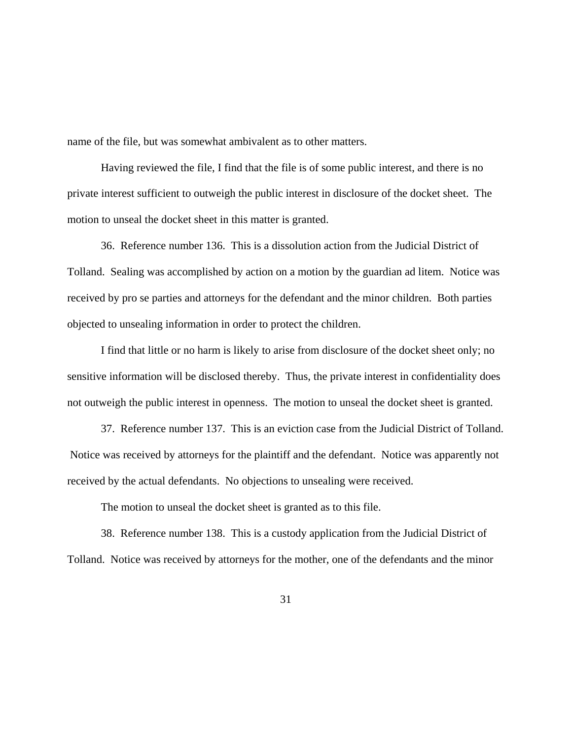name of the file, but was somewhat ambivalent as to other matters.

Having reviewed the file, I find that the file is of some public interest, and there is no private interest sufficient to outweigh the public interest in disclosure of the docket sheet. The motion to unseal the docket sheet in this matter is granted.

36. Reference number 136. This is a dissolution action from the Judicial District of Tolland. Sealing was accomplished by action on a motion by the guardian ad litem. Notice was received by pro se parties and attorneys for the defendant and the minor children. Both parties objected to unsealing information in order to protect the children.

I find that little or no harm is likely to arise from disclosure of the docket sheet only; no sensitive information will be disclosed thereby. Thus, the private interest in confidentiality does not outweigh the public interest in openness. The motion to unseal the docket sheet is granted.

37. Reference number 137. This is an eviction case from the Judicial District of Tolland. Notice was received by attorneys for the plaintiff and the defendant. Notice was apparently not received by the actual defendants. No objections to unsealing were received.

The motion to unseal the docket sheet is granted as to this file.

38. Reference number 138. This is a custody application from the Judicial District of Tolland. Notice was received by attorneys for the mother, one of the defendants and the minor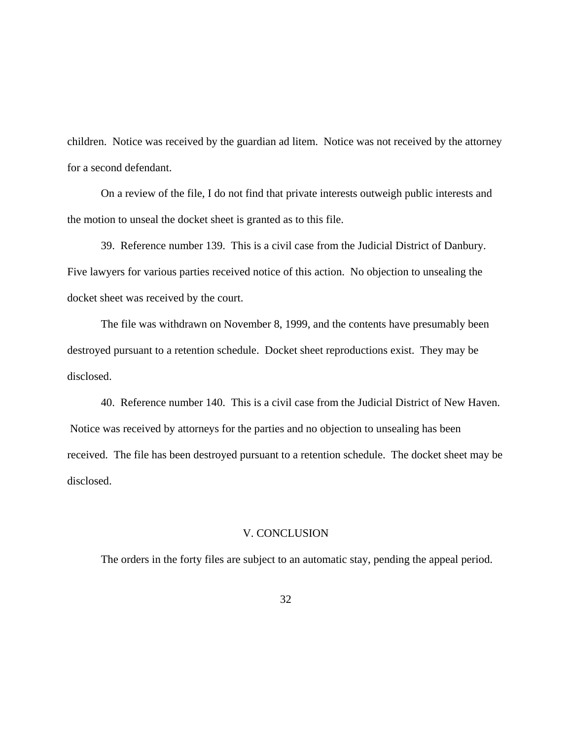children. Notice was received by the guardian ad litem. Notice was not received by the attorney for a second defendant.

On a review of the file, I do not find that private interests outweigh public interests and the motion to unseal the docket sheet is granted as to this file.

39. Reference number 139. This is a civil case from the Judicial District of Danbury. Five lawyers for various parties received notice of this action. No objection to unsealing the docket sheet was received by the court.

The file was withdrawn on November 8, 1999, and the contents have presumably been destroyed pursuant to a retention schedule. Docket sheet reproductions exist. They may be disclosed.

40. Reference number 140. This is a civil case from the Judicial District of New Haven. Notice was received by attorneys for the parties and no objection to unsealing has been received. The file has been destroyed pursuant to a retention schedule. The docket sheet may be disclosed.

### V. CONCLUSION

The orders in the forty files are subject to an automatic stay, pending the appeal period.

32